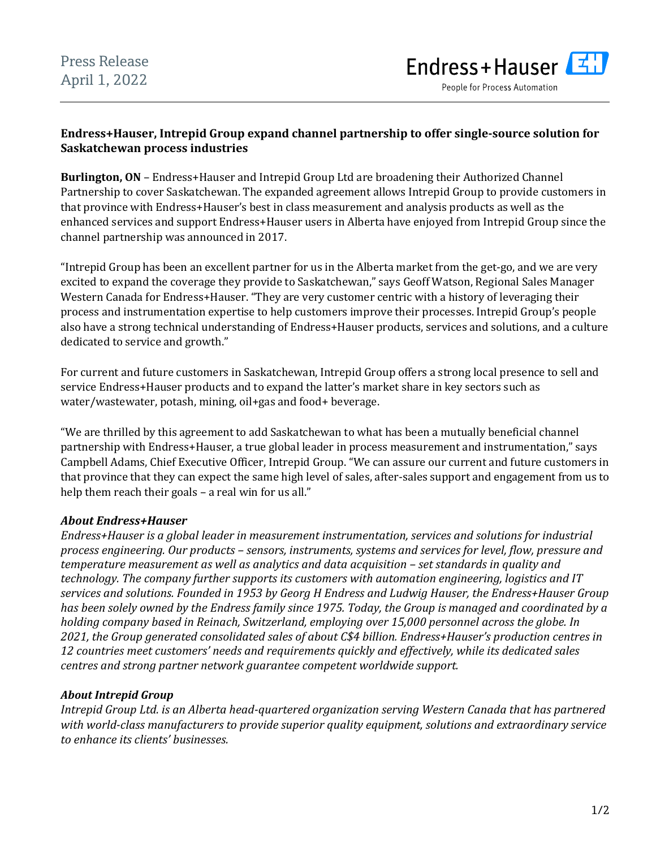

People for Process Automation

# **Endress+Hauser, Intrepid Group expand channel partnership to offer single-source solution for Saskatchewan process industries**

**Burlington, ON** – Endress+Hauser and Intrepid Group Ltd are broadening their Authorized Channel Partnership to cover Saskatchewan. The expanded agreement allows Intrepid Group to provide customers in that province with Endress+Hauser's best in class measurement and analysis products as well as the enhanced services and support Endress+Hauser users in Alberta have enjoyed from Intrepid Group since the channel partnership was announced in 2017.

"Intrepid Group has been an excellent partner for us in the Alberta market from the get-go, and we are very excited to expand the coverage they provide to Saskatchewan," says Geoff Watson, Regional Sales Manager Western Canada for Endress+Hauser. "They are very customer centric with a history of leveraging their process and instrumentation expertise to help customers improve their processes. Intrepid Group's people also have a strong technical understanding of Endress+Hauser products, services and solutions, and a culture dedicated to service and growth."

For current and future customers in Saskatchewan, Intrepid Group offers a strong local presence to sell and service Endress+Hauser products and to expand the latter's market share in key sectors such as water/wastewater, potash, mining, oil+gas and food+ beverage.

"We are thrilled by this agreement to add Saskatchewan to what has been a mutually beneficial channel partnership with Endress+Hauser, a true global leader in process measurement and instrumentation," says Campbell Adams, Chief Executive Officer, Intrepid Group. "We can assure our current and future customers in that province that they can expect the same high level of sales, after-sales support and engagement from us to help them reach their goals - a real win for us all."

# *About Endress+Hauser*

*Endress+Hauser is a global leader in measurement instrumentation, services and solutions for industrial process engineering. Our products – sensors, instruments, systems and services for level, flow, pressure and temperature measurement as well as analytics and data acquisition – set standards in quality and technology. The company further supports its customers with automation engineering, logistics and IT services and solutions. Founded in 1953 by Georg H Endress and Ludwig Hauser, the Endress+Hauser Group has been solely owned by the Endress family since 1975. Today, the Group is managed and coordinated by a holding company based in Reinach, Switzerland, employing over 15,000 personnel across the globe. In 2021, the Group generated consolidated sales of about C\$4 billion. Endress+Hauser's production centres in 12 countries meet customers' needs and requirements quickly and effectively, while its dedicated sales centres and strong partner network guarantee competent worldwide support.*

### *About Intrepid Group*

*Intrepid Group Ltd. is an Alberta head-quartered organization serving Western Canada that has partnered with world-class manufacturers to provide superior quality equipment, solutions and extraordinary service to enhance its clients' businesses.*